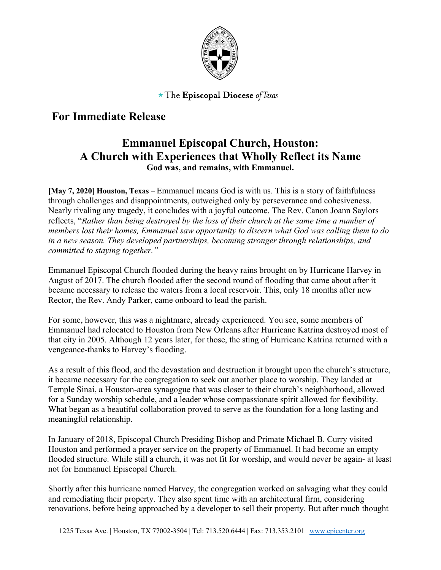

 $\star$  The Episcopal Diocese of Texas

## **For Immediate Release**

## **Emmanuel Episcopal Church, Houston: A Church with Experiences that Wholly Reflect its Name God was, and remains, with Emmanuel.**

**[May 7, 2020] Houston, Texas** – Emmanuel means God is with us. This is a story of faithfulness through challenges and disappointments, outweighed only by perseverance and cohesiveness. Nearly rivaling any tragedy, it concludes with a joyful outcome. The Rev. Canon Joann Saylors reflects, "*Rather than being destroyed by the loss of their church at the same time a number of members lost their homes, Emmanuel saw opportunity to discern what God was calling them to do in a new season. They developed partnerships, becoming stronger through relationships, and committed to staying together."*

Emmanuel Episcopal Church flooded during the heavy rains brought on by Hurricane Harvey in August of 2017. The church flooded after the second round of flooding that came about after it became necessary to release the waters from a local reservoir. This, only 18 months after new Rector, the Rev. Andy Parker, came onboard to lead the parish.

For some, however, this was a nightmare, already experienced. You see, some members of Emmanuel had relocated to Houston from New Orleans after Hurricane Katrina destroyed most of that city in 2005. Although 12 years later, for those, the sting of Hurricane Katrina returned with a vengeance-thanks to Harvey's flooding.

As a result of this flood, and the devastation and destruction it brought upon the church's structure, it became necessary for the congregation to seek out another place to worship. They landed at Temple Sinai, a Houston-area synagogue that was closer to their church's neighborhood, allowed for a Sunday worship schedule, and a leader whose compassionate spirit allowed for flexibility. What began as a beautiful collaboration proved to serve as the foundation for a long lasting and meaningful relationship.

In January of 2018, Episcopal Church Presiding Bishop and Primate Michael B. Curry visited Houston and performed a prayer service on the property of Emmanuel. It had become an empty flooded structure. While still a church, it was not fit for worship, and would never be again- at least not for Emmanuel Episcopal Church.

Shortly after this hurricane named Harvey, the congregation worked on salvaging what they could and remediating their property. They also spent time with an architectural firm, considering renovations, before being approached by a developer to sell their property. But after much thought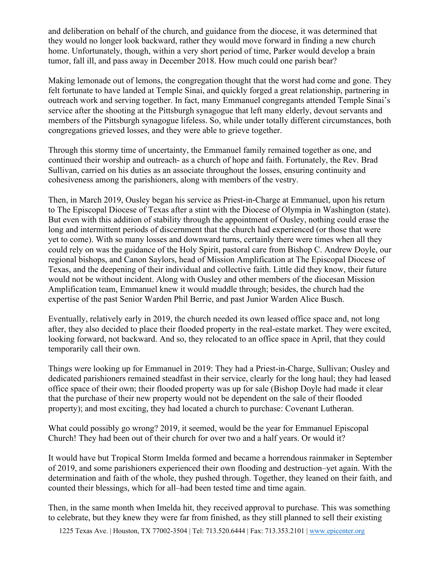and deliberation on behalf of the church, and guidance from the diocese, it was determined that they would no longer look backward, rather they would move forward in finding a new church home. Unfortunately, though, within a very short period of time, Parker would develop a brain tumor, fall ill, and pass away in December 2018. How much could one parish bear?

Making lemonade out of lemons, the congregation thought that the worst had come and gone. They felt fortunate to have landed at Temple Sinai, and quickly forged a great relationship, partnering in outreach work and serving together. In fact, many Emmanuel congregants attended Temple Sinai's service after the shooting at the Pittsburgh synagogue that left many elderly, devout servants and members of the Pittsburgh synagogue lifeless. So, while under totally different circumstances, both congregations grieved losses, and they were able to grieve together.

Through this stormy time of uncertainty, the Emmanuel family remained together as one, and continued their worship and outreach- as a church of hope and faith. Fortunately, the Rev. Brad Sullivan, carried on his duties as an associate throughout the losses, ensuring continuity and cohesiveness among the parishioners, along with members of the vestry.

Then, in March 2019, Ousley began his service as Priest-in-Charge at Emmanuel, upon his return to The Episcopal Diocese of Texas after a stint with the Diocese of Olympia in Washington (state). But even with this addition of stability through the appointment of Ousley, nothing could erase the long and intermittent periods of discernment that the church had experienced (or those that were yet to come). With so many losses and downward turns, certainly there were times when all they could rely on was the guidance of the Holy Spirit, pastoral care from Bishop C. Andrew Doyle, our regional bishops, and Canon Saylors, head of Mission Amplification at The Episcopal Diocese of Texas, and the deepening of their individual and collective faith. Little did they know, their future would not be without incident. Along with Ousley and other members of the diocesan Mission Amplification team, Emmanuel knew it would muddle through; besides, the church had the expertise of the past Senior Warden Phil Berrie, and past Junior Warden Alice Busch.

Eventually, relatively early in 2019, the church needed its own leased office space and, not long after, they also decided to place their flooded property in the real-estate market. They were excited, looking forward, not backward. And so, they relocated to an office space in April, that they could temporarily call their own.

Things were looking up for Emmanuel in 2019: They had a Priest-in-Charge, Sullivan; Ousley and dedicated parishioners remained steadfast in their service, clearly for the long haul; they had leased office space of their own; their flooded property was up for sale (Bishop Doyle had made it clear that the purchase of their new property would not be dependent on the sale of their flooded property); and most exciting, they had located a church to purchase: Covenant Lutheran.

What could possibly go wrong? 2019, it seemed, would be the year for Emmanuel Episcopal Church! They had been out of their church for over two and a half years. Or would it?

It would have but Tropical Storm Imelda formed and became a horrendous rainmaker in September of 2019, and some parishioners experienced their own flooding and destruction–yet again. With the determination and faith of the whole, they pushed through. Together, they leaned on their faith, and counted their blessings, which for all–had been tested time and time again.

Then, in the same month when Imelda hit, they received approval to purchase. This was something to celebrate, but they knew they were far from finished, as they still planned to sell their existing

1225 Texas Ave. | Houston, TX 77002-3504 | Tel: 713.520.6444 | Fax: 713.353.2101 | www.epicenter.org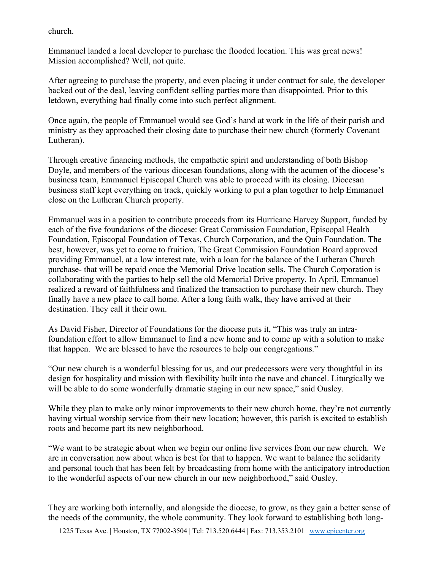church.

Emmanuel landed a local developer to purchase the flooded location. This was great news! Mission accomplished? Well, not quite.

After agreeing to purchase the property, and even placing it under contract for sale, the developer backed out of the deal, leaving confident selling parties more than disappointed. Prior to this letdown, everything had finally come into such perfect alignment.

Once again, the people of Emmanuel would see God's hand at work in the life of their parish and ministry as they approached their closing date to purchase their new church (formerly Covenant Lutheran).

Through creative financing methods, the empathetic spirit and understanding of both Bishop Doyle, and members of the various diocesan foundations, along with the acumen of the diocese's business team, Emmanuel Episcopal Church was able to proceed with its closing. Diocesan business staff kept everything on track, quickly working to put a plan together to help Emmanuel close on the Lutheran Church property.

Emmanuel was in a position to contribute proceeds from its Hurricane Harvey Support, funded by each of the five foundations of the diocese: Great Commission Foundation, Episcopal Health Foundation, Episcopal Foundation of Texas, Church Corporation, and the Quin Foundation. The best, however, was yet to come to fruition. The Great Commission Foundation Board approved providing Emmanuel, at a low interest rate, with a loan for the balance of the Lutheran Church purchase- that will be repaid once the Memorial Drive location sells. The Church Corporation is collaborating with the parties to help sell the old Memorial Drive property. In April, Emmanuel realized a reward of faithfulness and finalized the transaction to purchase their new church. They finally have a new place to call home. After a long faith walk, they have arrived at their destination. They call it their own.

As David Fisher, Director of Foundations for the diocese puts it, "This was truly an intrafoundation effort to allow Emmanuel to find a new home and to come up with a solution to make that happen. We are blessed to have the resources to help our congregations."

"Our new church is a wonderful blessing for us, and our predecessors were very thoughtful in its design for hospitality and mission with flexibility built into the nave and chancel. Liturgically we will be able to do some wonderfully dramatic staging in our new space," said Ousley.

While they plan to make only minor improvements to their new church home, they're not currently having virtual worship service from their new location; however, this parish is excited to establish roots and become part its new neighborhood.

"We want to be strategic about when we begin our online live services from our new church. We are in conversation now about when is best for that to happen. We want to balance the solidarity and personal touch that has been felt by broadcasting from home with the anticipatory introduction to the wonderful aspects of our new church in our new neighborhood," said Ousley.

They are working both internally, and alongside the diocese, to grow, as they gain a better sense of the needs of the community, the whole community. They look forward to establishing both long-

1225 Texas Ave. | Houston, TX 77002-3504 | Tel: 713.520.6444 | Fax: 713.353.2101 | www.epicenter.org